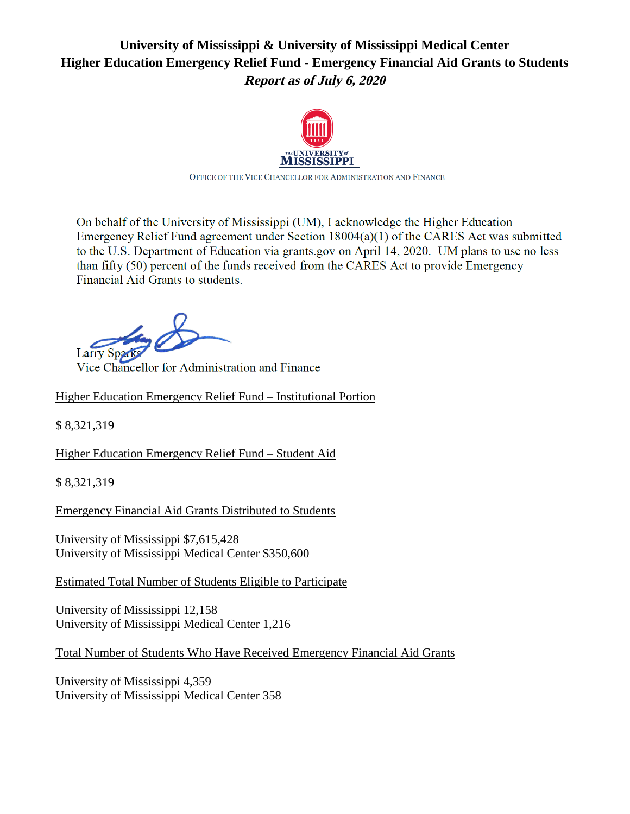# **University of Mississippi & University of Mississippi Medical Center Higher Education Emergency Relief Fund - Emergency Financial Aid Grants to Students Report as of July 6, 2020**



OFFICE OF THE VICE CHANCELLOR FOR ADMINISTRATION AND FINANCE

On behalf of the University of Mississippi (UM), I acknowledge the Higher Education Emergency Relief Fund agreement under Section  $18004(a)(1)$  of the CARES Act was submitted to the U.S. Department of Education via grants.gov on April 14, 2020. UM plans to use no less than fifty  $(50)$  percent of the funds received from the CARES Act to provide Emergency Financial Aid Grants to students.

Larry  $v_4$ Ks

Vice Chancellor for Administration and Finance

Higher Education Emergency Relief Fund – Institutional Portion

\$ 8,321,319

Higher Education Emergency Relief Fund – Student Aid

\$ 8,321,319

Emergency Financial Aid Grants Distributed to Students

University of Mississippi \$7,615,428 University of Mississippi Medical Center \$350,600

Estimated Total Number of Students Eligible to Participate

University of Mississippi 12,158 University of Mississippi Medical Center 1,216

Total Number of Students Who Have Received Emergency Financial Aid Grants

University of Mississippi 4,359 University of Mississippi Medical Center 358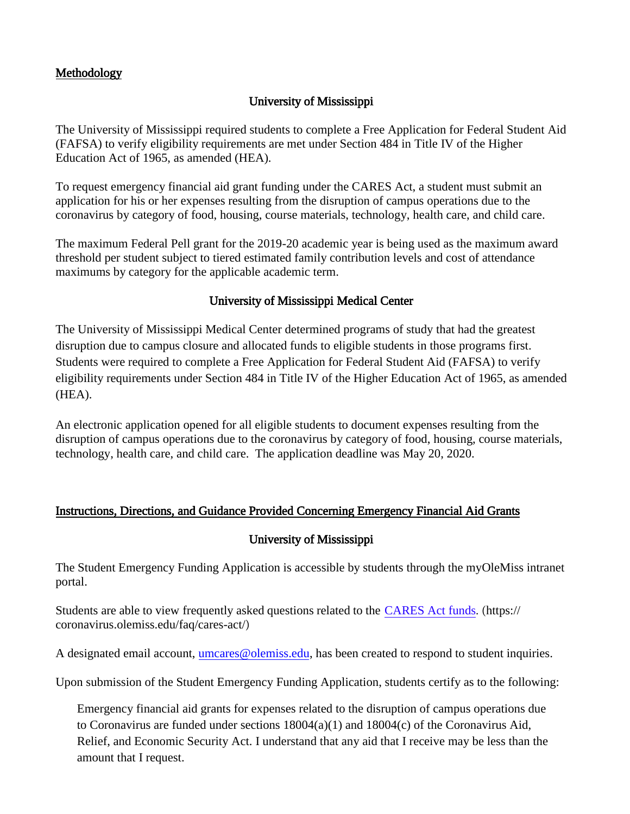## Methodology

## University of Mississippi

The University of Mississippi required students to complete a Free Application for Federal Student Aid (FAFSA) to verify eligibility requirements are met under Section 484 in Title IV of the Higher Education Act of 1965, as amended (HEA).

To request emergency financial aid grant funding under the CARES Act, a student must submit an application for his or her expenses resulting from the disruption of campus operations due to the coronavirus by category of food, housing, course materials, technology, health care, and child care.

The maximum Federal Pell grant for the 2019-20 academic year is being used as the maximum award threshold per student subject to tiered estimated family contribution levels and cost of attendance maximums by category for the applicable academic term.

## University of Mississippi Medical Center

The University of Mississippi Medical Center determined programs of study that had the greatest disruption due to campus closure and allocated funds to eligible students in those programs first. Students were required to complete a Free Application for Federal Student Aid (FAFSA) to verify eligibility requirements under Section 484 in Title IV of the Higher Education Act of 1965, as amended (HEA).

An electronic application opened for all eligible students to document expenses resulting from the disruption of campus operations due to the coronavirus by category of food, housing, course materials, technology, health care, and child care. The application deadline was May 20, 2020.

### Instructions, Directions, and Guidance Provided Concerning Emergency Financial Aid Grants

### University of Mississippi

The Student Emergency Funding Application is accessible by students through the myOleMiss intranet portal.

Students are able to view frequently asked questions related to the [CARES Act funds](https://coronavirus.olemiss.edu/faq/cares-act/). (https:// coronavirus.olemiss.edu/faq/cares-act/)

A designated email account, [umcares@olemiss.edu,](mailto:umcares@olemiss.edu) has been created to respond to student inquiries.

Upon submission of the Student Emergency Funding Application, students certify as to the following:

Emergency financial aid grants for expenses related to the disruption of campus operations due to Coronavirus are funded under sections 18004(a)(1) and 18004(c) of the Coronavirus Aid, Relief, and Economic Security Act. I understand that any aid that I receive may be less than the amount that I request.